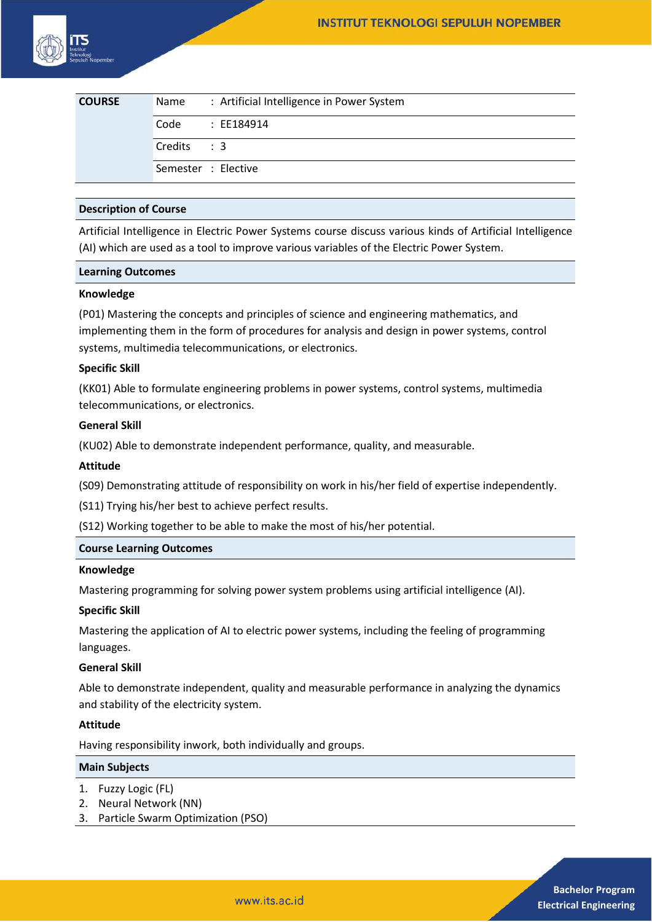| <b>COURSE</b> | Name                | : Artificial Intelligence in Power System |
|---------------|---------------------|-------------------------------------------|
|               | Code                | : EE184914                                |
|               | Credits: 3          |                                           |
|               | Semester : Elective |                                           |

## **Description of Course**

Artificial Intelligence in Electric Power Systems course discuss various kinds of Artificial Intelligence (AI) which are used as a tool to improve various variables of the Electric Power System.

### **Learning Outcomes**

#### **Knowledge**

(P01) Mastering the concepts and principles of science and engineering mathematics, and implementing them in the form of procedures for analysis and design in power systems, control systems, multimedia telecommunications, or electronics.

### **Specific Skill**

(KK01) Able to formulate engineering problems in power systems, control systems, multimedia telecommunications, or electronics.

# **General Skill**

(KU02) Able to demonstrate independent performance, quality, and measurable.

## **Attitude**

(S09) Demonstrating attitude of responsibility on work in his/her field of expertise independently.

(S11) Trying his/her best to achieve perfect results.

(S12) Working together to be able to make the most of his/her potential.

# **Course Learning Outcomes**

#### **Knowledge**

Mastering programming for solving power system problems using artificial intelligence (AI).

#### **Specific Skill**

Mastering the application of AI to electric power systems, including the feeling of programming languages.

#### **General Skill**

Able to demonstrate independent, quality and measurable performance in analyzing the dynamics and stability of the electricity system.

# **Attitude**

Having responsibility inwork, both individually and groups.

### **Main Subjects**

- 1. Fuzzy Logic (FL)
- 2. Neural Network (NN)
- 3. Particle Swarm Optimization (PSO)